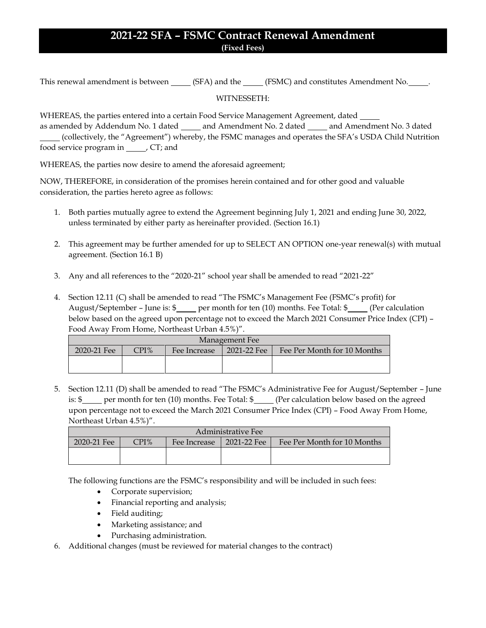## **2021-22 SFA – FSMC Contract Renewal Amendment (Fixed Fees)**

This renewal amendment is between (SFA) and the (FSMC) and constitutes Amendment No.

## WITNESSETH:

WHEREAS, the parties entered into a certain Food Service Management Agreement, dated

as amended by Addendum No. 1 dated \_\_\_\_\_ and Amendment No. 2 dated \_\_\_\_\_ and Amendment No. 3 dated (collectively, the "Agreement") whereby, the FSMC manages and operates the SFA's USDA Child Nutrition food service program in \_\_\_\_\_\_, CT; and

WHEREAS, the parties now desire to amend the aforesaid agreement;

NOW, THEREFORE, in consideration of the promises herein contained and for other good and valuable consideration, the parties hereto agree as follows:

- 1. Both parties mutually agree to extend the Agreement beginning July 1, 2021 and ending June 30, 2022, unless terminated by either party as hereinafter provided. (Section 16.1)
- 2. This agreement may be further amended for up to SELECT AN OPTION one-year renewal(s) with mutual agreement. (Section 16.1 B)
- 3. Any and all references to the "2020-21" school year shall be amended to read "2021-22"
- 4. Section 12.11 (C) shall be amended to read "The FSMC's Management Fee (FSMC's profit) for August/September – June is: \$ per month for ten (10) months. Fee Total: \$ (Per calculation below based on the agreed upon percentage not to exceed the March 2021 Consumer Price Index (CPI) – Food Away From Home, Northeast Urban 4.5%)".

| Management Fee |      |              |             |                             |  |  |  |
|----------------|------|--------------|-------------|-----------------------------|--|--|--|
| 2020-21 Fee    | CPI% | Fee Increase | 2021-22 Fee | Fee Per Month for 10 Months |  |  |  |
|                |      |              |             |                             |  |  |  |
|                |      |              |             |                             |  |  |  |

5. Section 12.11 (D) shall be amended to read "The FSMC's Administrative Fee for August/September – June is:  $\frac{1}{2}$  per month for ten (10) months. Fee Total:  $\frac{1}{2}$  (Per calculation below based on the agreed upon percentage not to exceed the March 2021 Consumer Price Index (CPI) – Food Away From Home, Northeast Urban 4.5%)".

| Administrative Fee |      |              |             |                             |  |  |  |
|--------------------|------|--------------|-------------|-----------------------------|--|--|--|
| 2020-21 Fee        | CPI% | Fee Increase | 2021-22 Fee | Fee Per Month for 10 Months |  |  |  |
|                    |      |              |             |                             |  |  |  |
|                    |      |              |             |                             |  |  |  |

The following functions are the FSMC's responsibility and will be included in such fees:

- Corporate supervision;
- Financial reporting and analysis;
- Field auditing;
- Marketing assistance; and
- Purchasing administration.
- 6. Additional changes (must be reviewed for material changes to the contract)